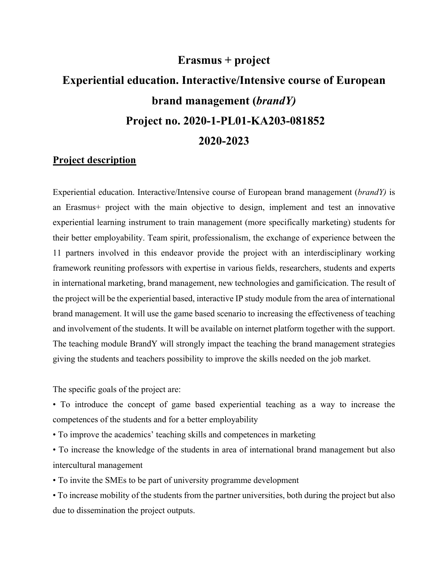# **Erasmus + project Experiential education. Interactive/Intensive course of European brand management (***brandY)* **Project no. 2020-1-PL01-KA203-081852 2020-2023**

## **Project description**

Experiential education. Interactive/Intensive course of European brand management (*brandY)* is an Erasmus+ project with the main objective to design, implement and test an innovative experiential learning instrument to train management (more specifically marketing) students for their better employability. Team spirit, professionalism, the exchange of experience between the 11 partners involved in this endeavor provide the project with an interdisciplinary working framework reuniting professors with expertise in various fields, researchers, students and experts in international marketing, brand management, new technologies and gamificication. The result of the project will be the experiential based, interactive IP study module from the area of international brand management. It will use the game based scenario to increasing the effectiveness of teaching and involvement of the students. It will be available on internet platform together with the support. The teaching module BrandY will strongly impact the teaching the brand management strategies giving the students and teachers possibility to improve the skills needed on the job market.

The specific goals of the project are:

• To introduce the concept of game based experiential teaching as a way to increase the competences of the students and for a better employability

• To improve the academics' teaching skills and competences in marketing

• To increase the knowledge of the students in area of international brand management but also intercultural management

• To invite the SMEs to be part of university programme development

• To increase mobility of the students from the partner universities, both during the project but also due to dissemination the project outputs.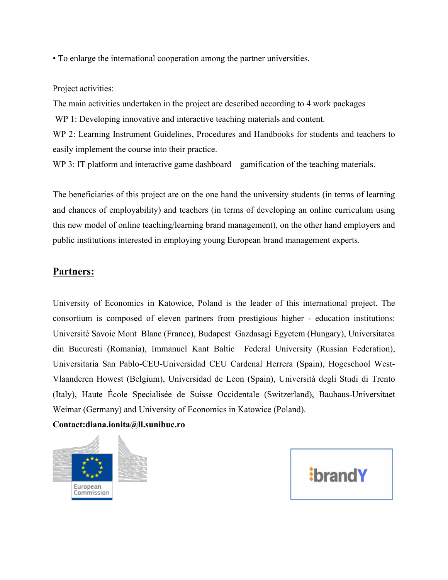• To enlarge the international cooperation among the partner universities.

Project activities:

The main activities undertaken in the project are described according to 4 work packages

WP 1: Developing innovative and interactive teaching materials and content.

WP 2: Learning Instrument Guidelines, Procedures and Handbooks for students and teachers to easily implement the course into their practice.

WP 3: IT platform and interactive game dashboard – gamification of the teaching materials.

The beneficiaries of this project are on the one hand the university students (in terms of learning and chances of employability) and teachers (in terms of developing an online curriculum using this new model of online teaching/learning brand management), on the other hand employers and public institutions interested in employing young European brand management experts.

## **Partners:**

University of Economics in Katowice, Poland is the leader of this international project. The consortium is composed of eleven partners from prestigious higher - education institutions: Université Savoie Mont Blanc (France), Budapest Gazdasagi Egyetem (Hungary), Universitatea din Bucuresti (Romania), Immanuel Kant Baltic Federal University (Russian Federation), Universitaria San Pablo-CEU-Universidad CEU Cardenal Herrera (Spain), Hogeschool West-Vlaanderen Howest (Belgium), Universidad de Leon (Spain), Università degli Studi di Trento (Italy), Haute École Specialisée de Suisse Occidentale (Switzerland), Bauhaus-Universitaet Weimar (Germany) and University of Economics in Katowice (Poland).

#### **Contact:diana.ionita@ll.sunibuc.ro**